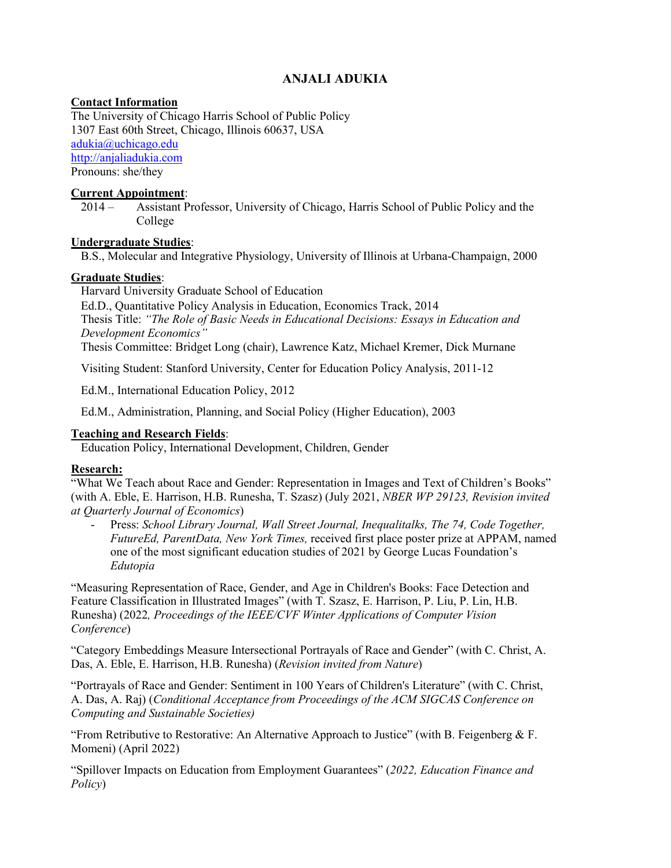# **ANJALI ADUKIA**

# **Contact Information**

The University of Chicago Harris School of Public Policy 1307 East 60th Street, Chicago, Illinois 60637, USA [adukia@uchicago.edu](mailto:adukia@uchicago.edu) [http://anjaliadukia.com](http://anjaliadukia.com/) Pronouns: she/they

# **Current Appointment**:

2014 – Assistant Professor, University of Chicago, Harris School of Public Policy and the College

# **Undergraduate Studies**:

B.S., Molecular and Integrative Physiology, University of Illinois at Urbana-Champaign, 2000

#### **Graduate Studies**:

Harvard University Graduate School of Education Ed.D., Quantitative Policy Analysis in Education, Economics Track, 2014 Thesis Title: *"The Role of Basic Needs in Educational Decisions: Essays in Education and Development Economics"*

Thesis Committee: Bridget Long (chair), Lawrence Katz, Michael Kremer, Dick Murnane

Visiting Student: Stanford University, Center for Education Policy Analysis, 2011-12

Ed.M., International Education Policy, 2012

Ed.M., Administration, Planning, and Social Policy (Higher Education), 2003

# **Teaching and Research Fields**:

Education Policy, International Development, Children, Gender

# **Research:**

"What We Teach about Race and Gender: Representation in Images and Text of Children's Books" (with A. Eble, E. Harrison, H.B. Runesha, T. Szasz) (July 2021, *NBER WP 29123, Revision invited at Quarterly Journal of Economics*)

- Press: *School Library Journal, Wall Street Journal, Inequalitalks, The 74, Code Together, FutureEd, ParentData, New York Times,* received first place poster prize at APPAM, named one of the most significant education studies of 2021 by George Lucas Foundation's *Edutopia*

"Measuring Representation of Race, Gender, and Age in Children's Books: Face Detection and Feature Classification in Illustrated Images" (with T. Szasz, E. Harrison, P. Liu, P. Lin, H.B. Runesha) (2022*, Proceedings of the IEEE/CVF Winter Applications of Computer Vision Conference*)

"Category Embeddings Measure Intersectional Portrayals of Race and Gender" (with C. Christ, A. Das, A. Eble, E. Harrison, H.B. Runesha) (*Revision invited from Nature*)

"Portrayals of Race and Gender: Sentiment in 100 Years of Children's Literature" (with C. Christ, A. Das, A. Raj) (*Conditional Acceptance from Proceedings of the ACM SIGCAS Conference on Computing and Sustainable Societies)*

"From Retributive to Restorative: An Alternative Approach to Justice" (with B. Feigenberg  $&$  F. Momeni) (April 2022)

"Spillover Impacts on Education from Employment Guarantees" (*2022, Education Finance and Policy*)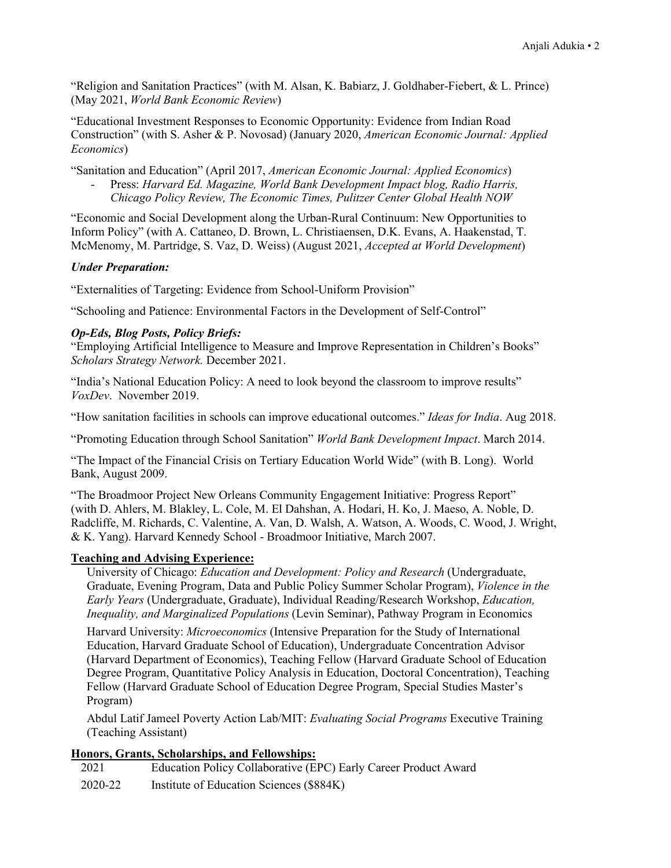"Religion and Sanitation Practices" (with M. Alsan, K. Babiarz, J. Goldhaber-Fiebert, & L. Prince) (May 2021, *World Bank Economic Review*)

"Educational Investment Responses to Economic Opportunity: Evidence from Indian Road Construction" (with S. Asher & P. Novosad) (January 2020, *American Economic Journal: Applied Economics*)

"Sanitation and Education" (April 2017, *American Economic Journal: Applied Economics*)

- Press: *Harvard Ed. Magazine, World Bank Development Impact blog, Radio Harris, Chicago Policy Review, The Economic Times, Pulitzer Center Global Health NOW*

"Economic and Social Development along the Urban-Rural Continuum: New Opportunities to Inform Policy" (with A. Cattaneo, D. Brown, L. Christiaensen, D.K. Evans, A. Haakenstad, T. McMenomy, M. Partridge, S. Vaz, D. Weiss) (August 2021, *Accepted at World Development*)

#### *Under Preparation:*

"Externalities of Targeting: Evidence from School-Uniform Provision"

"Schooling and Patience: Environmental Factors in the Development of Self-Control"

#### *Op-Eds, Blog Posts, Policy Briefs:*

"Employing Artificial Intelligence to Measure and Improve Representation in Children's Books" *Scholars Strategy Network.* December 2021.

"India's National Education Policy: A need to look beyond the classroom to improve results" *VoxDev*. November 2019.

"How sanitation facilities in schools can improve educational outcomes." *Ideas for India*. Aug 2018.

"Promoting Education through School Sanitation" *World Bank Development Impact*. March 2014.

"The Impact of the Financial Crisis on Tertiary Education World Wide" (with B. Long). World Bank, August 2009.

"The Broadmoor Project New Orleans Community Engagement Initiative: Progress Report" (with D. Ahlers, M. Blakley, L. Cole, M. El Dahshan, A. Hodari, H. Ko, J. Maeso, A. Noble, D. Radcliffe, M. Richards, C. Valentine, A. Van, D. Walsh, A. Watson, A. Woods, C. Wood, J. Wright, & K. Yang). Harvard Kennedy School - Broadmoor Initiative, March 2007.

#### **Teaching and Advising Experience:**

University of Chicago: *Education and Development: Policy and Research* (Undergraduate, Graduate, Evening Program, Data and Public Policy Summer Scholar Program), *Violence in the Early Years* (Undergraduate, Graduate), Individual Reading/Research Workshop, *Education, Inequality, and Marginalized Populations* (Levin Seminar), Pathway Program in Economics

Harvard University: *Microeconomics* (Intensive Preparation for the Study of International Education, Harvard Graduate School of Education), Undergraduate Concentration Advisor (Harvard Department of Economics), Teaching Fellow (Harvard Graduate School of Education Degree Program, Quantitative Policy Analysis in Education, Doctoral Concentration), Teaching Fellow (Harvard Graduate School of Education Degree Program, Special Studies Master's Program)

Abdul Latif Jameel Poverty Action Lab/MIT: *Evaluating Social Programs* Executive Training (Teaching Assistant)

# **Honors, Grants, Scholarships, and Fellowships:**

2021 Education Policy Collaborative (EPC) Early Career Product Award 2020-22 Institute of Education Sciences (\$884K)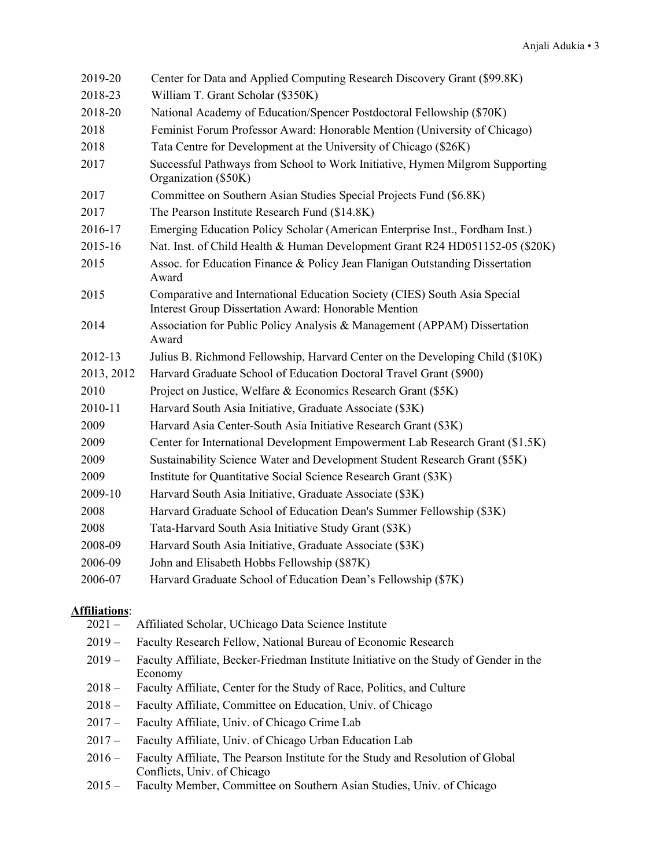| 2019-20    | Center for Data and Applied Computing Research Discovery Grant (\$99.8K)                                                                 |
|------------|------------------------------------------------------------------------------------------------------------------------------------------|
| 2018-23    | William T. Grant Scholar (\$350K)                                                                                                        |
| 2018-20    | National Academy of Education/Spencer Postdoctoral Fellowship (\$70K)                                                                    |
| 2018       | Feminist Forum Professor Award: Honorable Mention (University of Chicago)                                                                |
| 2018       | Tata Centre for Development at the University of Chicago (\$26K)                                                                         |
| 2017       | Successful Pathways from School to Work Initiative, Hymen Milgrom Supporting<br>Organization (\$50K)                                     |
| 2017       | Committee on Southern Asian Studies Special Projects Fund (\$6.8K)                                                                       |
| 2017       | The Pearson Institute Research Fund (\$14.8K)                                                                                            |
| 2016-17    | Emerging Education Policy Scholar (American Enterprise Inst., Fordham Inst.)                                                             |
| 2015-16    | Nat. Inst. of Child Health & Human Development Grant R24 HD051152-05 (\$20K)                                                             |
| 2015       | Assoc. for Education Finance & Policy Jean Flanigan Outstanding Dissertation<br>Award                                                    |
| 2015       | Comparative and International Education Society (CIES) South Asia Special<br><b>Interest Group Dissertation Award: Honorable Mention</b> |
| 2014       | Association for Public Policy Analysis & Management (APPAM) Dissertation<br>Award                                                        |
| 2012-13    | Julius B. Richmond Fellowship, Harvard Center on the Developing Child (\$10K)                                                            |
| 2013, 2012 | Harvard Graduate School of Education Doctoral Travel Grant (\$900)                                                                       |
| 2010       | Project on Justice, Welfare & Economics Research Grant (\$5K)                                                                            |
| 2010-11    | Harvard South Asia Initiative, Graduate Associate (\$3K)                                                                                 |
| 2009       | Harvard Asia Center-South Asia Initiative Research Grant (\$3K)                                                                          |
| 2009       | Center for International Development Empowerment Lab Research Grant (\$1.5K)                                                             |
| 2009       | Sustainability Science Water and Development Student Research Grant (\$5K)                                                               |
| 2009       | Institute for Quantitative Social Science Research Grant (\$3K)                                                                          |
| 2009-10    | Harvard South Asia Initiative, Graduate Associate (\$3K)                                                                                 |
| 2008       | Harvard Graduate School of Education Dean's Summer Fellowship (\$3K)                                                                     |
| 2008       | Tata-Harvard South Asia Initiative Study Grant (\$3K)                                                                                    |
| 2008-09    | Harvard South Asia Initiative, Graduate Associate (\$3K)                                                                                 |
| 2006-09    | John and Elisabeth Hobbs Fellowship (\$87K)                                                                                              |
| 2006-07    | Harvard Graduate School of Education Dean's Fellowship (\$7K)                                                                            |

# **Affiliations**:

- Affiliated Scholar, UChicago Data Science Institute
- 2019 Faculty Research Fellow, National Bureau of Economic Research
- 2019 Faculty Affiliate, Becker-Friedman Institute Initiative on the Study of Gender in the Economy
- 2018 Faculty Affiliate, Center for the Study of Race, Politics, and Culture
- 2018 Faculty Affiliate, Committee on Education, Univ. of Chicago
- 2017 Faculty Affiliate, Univ. of Chicago Crime Lab
- 2017 Faculty Affiliate, Univ. of Chicago Urban Education Lab
- 2016 Faculty Affiliate, The Pearson Institute for the Study and Resolution of Global Conflicts, Univ. of Chicago
- 2015 Faculty Member, Committee on Southern Asian Studies, Univ. of Chicago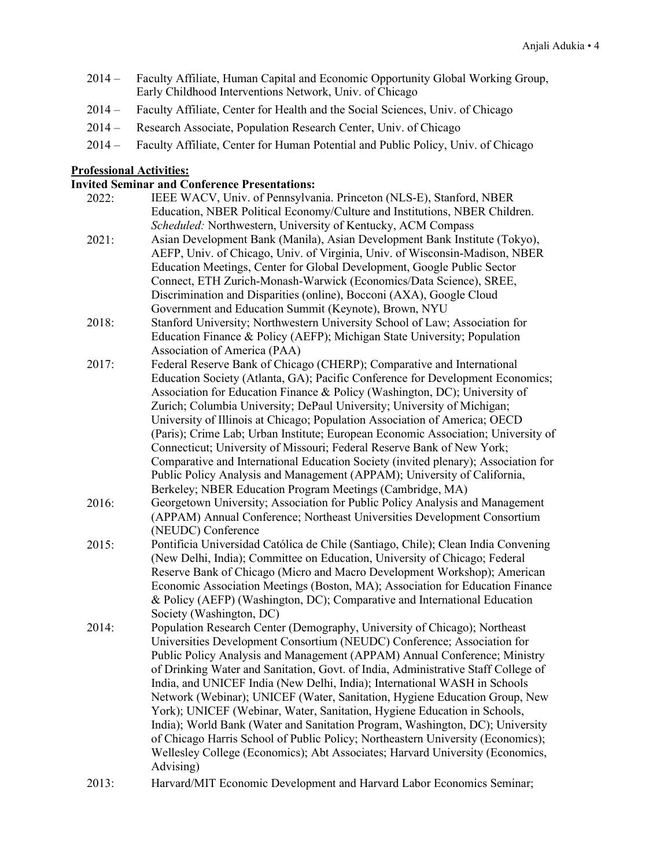- 2014 Faculty Affiliate, Human Capital and Economic Opportunity Global Working Group, Early Childhood Interventions Network, Univ. of Chicago
- 2014 Faculty Affiliate, Center for Health and the Social Sciences, Univ. of Chicago
- 2014 Research Associate, Population Research Center, Univ. of Chicago
- 2014 Faculty Affiliate, Center for Human Potential and Public Policy, Univ. of Chicago

#### **Professional Activities:**

#### **Invited Seminar and Conference Presentations:**

- 2022: IEEE WACV, Univ. of Pennsylvania. Princeton (NLS-E), Stanford, NBER Education, NBER Political Economy/Culture and Institutions, NBER Children. *Scheduled:* Northwestern, University of Kentucky, ACM Compass 2021: Asian Development Bank (Manila), Asian Development Bank Institute (Tokyo), AEFP, Univ. of Chicago, Univ. of Virginia, Univ. of Wisconsin-Madison, NBER Education Meetings, Center for Global Development, Google Public Sector Connect, ETH Zurich-Monash-Warwick (Economics/Data Science), SREE, Discrimination and Disparities (online), Bocconi (AXA), Google Cloud Government and Education Summit (Keynote), Brown, NYU 2018: Stanford University; Northwestern University School of Law; Association for Education Finance & Policy (AEFP); Michigan State University; Population Association of America (PAA) 2017: Federal Reserve Bank of Chicago (CHERP); Comparative and International Education Society (Atlanta, GA); Pacific Conference for Development Economics; Association for Education Finance & Policy (Washington, DC); University of Zurich; Columbia University; DePaul University; University of Michigan; University of Illinois at Chicago; Population Association of America; OECD (Paris); Crime Lab; Urban Institute; European Economic Association; University of Connecticut; University of Missouri; Federal Reserve Bank of New York; Comparative and International Education Society (invited plenary); Association for Public Policy Analysis and Management (APPAM); University of California, Berkeley; NBER Education Program Meetings (Cambridge, MA) 2016: Georgetown University; Association for Public Policy Analysis and Management (APPAM) Annual Conference; Northeast Universities Development Consortium (NEUDC) Conference 2015: Pontificia Universidad Católica de Chile (Santiago, Chile); Clean India Convening (New Delhi, India); Committee on Education, University of Chicago; Federal Reserve Bank of Chicago (Micro and Macro Development Workshop); American Economic Association Meetings (Boston, MA); Association for Education Finance & Policy (AEFP) (Washington, DC); Comparative and International Education Society (Washington, DC) 2014: Population Research Center (Demography, University of Chicago); Northeast Universities Development Consortium (NEUDC) Conference; Association for Public Policy Analysis and Management (APPAM) Annual Conference; Ministry of Drinking Water and Sanitation, Govt. of India, Administrative Staff College of India, and UNICEF India (New Delhi, India); International WASH in Schools Network (Webinar); UNICEF (Water, Sanitation, Hygiene Education Group, New York); UNICEF (Webinar, Water, Sanitation, Hygiene Education in Schools, India); World Bank (Water and Sanitation Program, Washington, DC); University of Chicago Harris School of Public Policy; Northeastern University (Economics); Wellesley College (Economics); Abt Associates; Harvard University (Economics, Advising)
- 2013: Harvard/MIT Economic Development and Harvard Labor Economics Seminar;